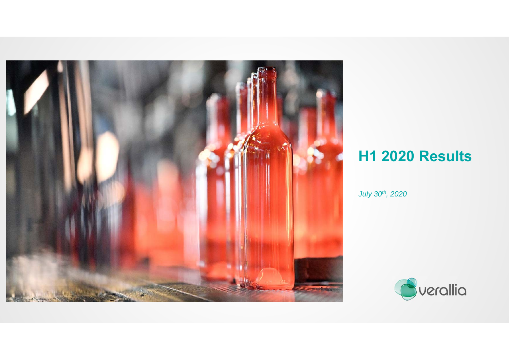

# **H1 2020 Results**

*July 30th, 2020*

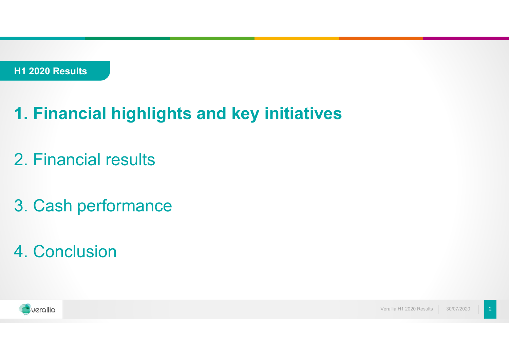# **1. Financial highlights and key initiatives**

- 2. Financial results
- 3. Cash performance
- 4. Conclusion



Verallia H1 2020 Results30/07/2020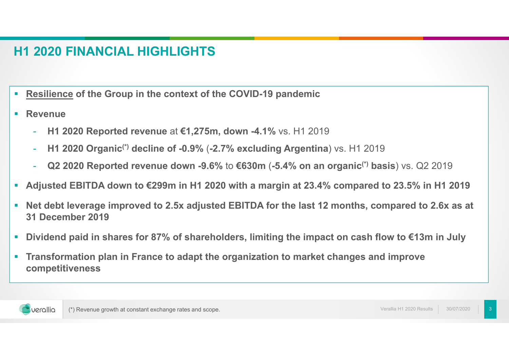#### **H1 2020 FINANCIAL HIGHLIGHTS**

- **Resilience of the Group in the context of the COVID-19 pandemic**
- $\mathcal{L}_{\mathcal{A}}$  **Revenue**
	- **H1 2020 Reported revenue** at **€1,275m, down -4.1%** vs. H1 2019
	- **H1 2020 Organic(\*) decline of -0.9%** (**-2.7% excluding Argentina**) vs. H1 2019
	- **Q2 2020 Reported revenue down -9.6%** to **€630m** (**-5.4% on an organic(\*) basis**) vs. Q2 2019
- $\overline{\phantom{a}}$ **Adjusted EBITDA down to €299m in H1 2020 with a margin at 23.4% compared to 23.5% in H1 2019**
- $\mathcal{L}_{\mathcal{A}}$  **Net debt leverage improved to 2.5x adjusted EBITDA for the last 12 months, compared to 2.6x as at 31 December 2019**
- $\mathcal{L}_{\mathcal{A}}$ **Dividend paid in shares for 87% of shareholders, limiting the impact on cash flow to €13m in July**
- $\mathcal{L}_{\mathcal{A}}$  **Transformation plan in France to adapt the organization to market changes and improve competitiveness**

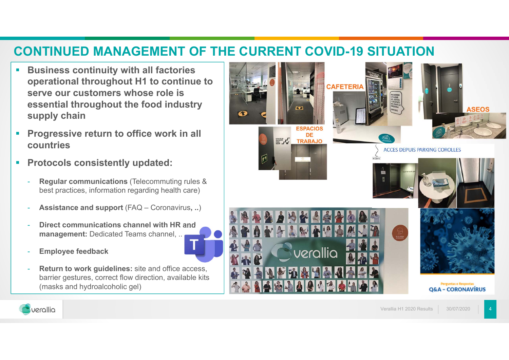#### **CONTINUED MANAGEMENT OF THE CURRENT COVID-19 SITUATION**

- $\blacksquare$  **Business continuity with all factories operational throughout H1 to continue to serve our customers whose role is essential throughout the food industry supply chain**
- $\mathcal{L}_{\mathcal{A}}$  **Progressive return to office work in all countries**
- $\blacksquare$  **Protocols consistently updated:**
	- **Regular communications** (Telecommuting rules & best practices, information regarding health care)
	- **Assistance and support** (FAQ Coronavirus**, ..**)
	- - **Direct communications channel with HR and management:** Dedicated Teams channel, ..
	- -**Employee feedback**
	- **Return to work guidelines:** site and office access, barrier gestures, correct flow direction, available kits (masks and hydroalcoholic gel)



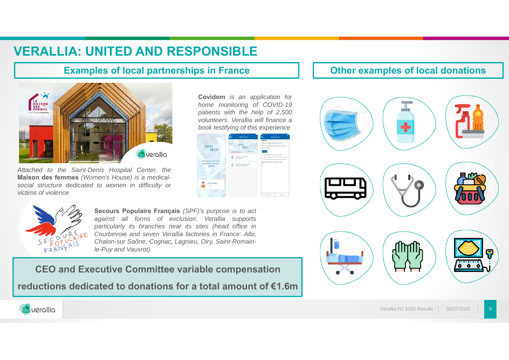## **VERALLIA: UNITED AND RESPONSIBLE**

#### **Examples of local partnerships in France**



*Attached to the Saint-Denis Hospital Center, the* **Maison des femmes** *(Women's House) is <sup>a</sup> medicalsocial structure dedicated to women in difficulty or victims of violence*

**Covidom** *is an application for home monitoring of COVID-19 patients with the help of 2,500 volunteers. Verallia will finance a book testifying of this experience*





**Secours Populaire Français** *(SPF)'s purpose is to act against all forms of exclusion. Verallia supports particularly its branches near its sites (head office in Courbevoie and seven Verallia factories in France: Albi, Chalon-sur Saône, Cognac, Lagnieu, Oiry, Saint-Romainle-Puy and Vauxrot)*

#### **CEO and Executive Committee variable compensation**

**reductions dedicated to donations for a total amount of €1.6m**

#### **Other examples of local donations**



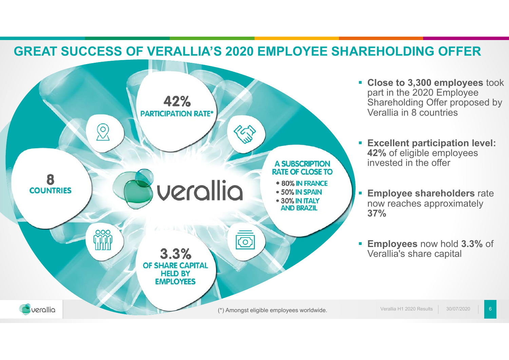#### **GREAT SUCCESS OF VERALLIA'S 2020 EMPLOYEE SHAREHOLDING OFFER**



- **Close to 3,300 employees** took part in the 2020 Employee Shareholding Offer proposed by Verallia in 8 countries
- **Excellent participation level: 42%** of eligible employees invested in the offer
- **Employee shareholders rate** now reaches approximately **37%**
- **Employees** now hold **3.3%** of Verallia's share capital

Verallia H1 2020 Results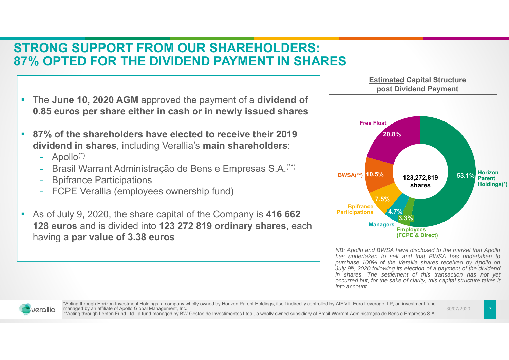#### **STRONG SUPPORT FROM OUR SHAREHOLDERS:87% OPTED FOR THE DIVIDEND PAYMENT IN SHARES**

- $\mathcal{C}$  The **June 10, 2020 AGM** approved the payment of a **dividend of 0.85 euros per share either in cash or in newly issued shares**
- $\mathbf{r}$  **87% of the shareholders have elected to receive their 2019 dividend in shares**, including Verallia's **main shareholders**:
	- Apollo(\*)
	- Brasil Warrant Administração de Bens e Empresas S.A.(\*\*)
	- Bpifrance Participations
	- FCPE Verallia (employees ownership fund)
- $\mathcal{L}_{\mathcal{A}}$  As of July 9, 2020, the share capital of the Company is **416 662 128 euros** and is divided into **123 272 819 ordinary shares**, each having **a par value of 3.38 euros**



*NB: Apollo and BWSA have disclosed to the market that Apollo has undertaken to sell and that BWSA has undertaken to purchase 100% of the Verallia shares received by Apollo on* July 9<sup>th</sup>, 2020 following its election of a payment of the dividend *in shares. The settlement of this transaction has not yet* occurred but, for the sake of clarity, this capital structure takes it *into account.*



\*Acting through Horizon Investment Holdings, a company wholly owned by Horizon Parent Holdings, itself indirectly controlled by AIF VIII Euro Leverage, LP, an investment fund managed by an affiliate of Apollo Global Management, Inc. \*\*Acting through Lepton Fund Ltd., a fund managed by BW Gestão de Investimentos Ltda., a wholly owned subsidiary of Brasil Warrant Administração de Bens e Empresas S.A.

30/07/2020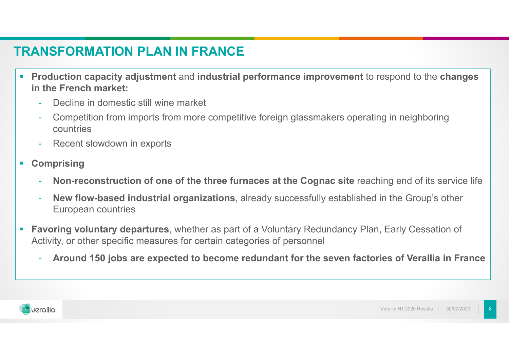## **TRANSFORMATION PLAN IN FRANCE**

- Г **Production capacity adjustment** and **industrial performance improvement** to respond to the **changes in the French market:**
	- -Decline in domestic still wine market
	- - Competition from imports from more competitive foreign glassmakers operating in neighboring countries
	- -Recent slowdown in exports
- $\mathcal{L}_{\mathcal{A}}$  **Comprising**
	- **Non-reconstruction of one of the three furnaces at the Cognac site** reaching end of its service life
	- - **New flow-based industrial organizations**, already successfully established in the Group's other European countries
- $\mathcal{L}_{\mathcal{A}}$  **Favoring voluntary departures**, whether as part of a Voluntary Redundancy Plan, Early Cessation of Activity, or other specific measures for certain categories of personnel
	- **Around 150 jobs are expected to become redundant for the seven factories of Verallia in France**

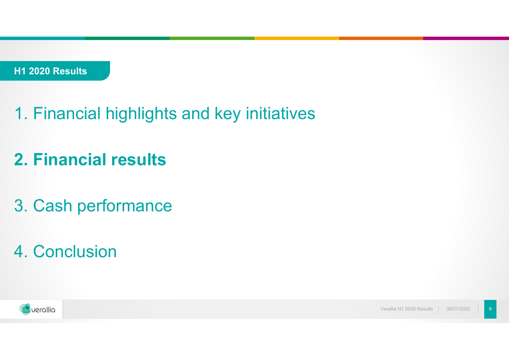- 1. Financial highlights and key initiatives
- **2. Financial results**
- 3. Cash performance
- 4. Conclusion

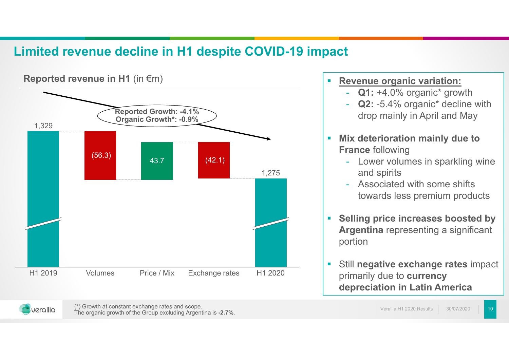## **Limited revenue decline in H1 despite COVID-19 impact**



#### $\mathcal{L}_{\mathcal{A}}$ **Revenue organic variation:**

- **Q1:** +4.0% organic\* growth
- -**Q2: -5.4% organic\* decline with** drop mainly in April and May
- $\mathcal{L}_{\mathcal{A}}$  **Mix deterioration mainly due to France** following
	- - Lower volumes in sparkling wine and spirits
	- Associated with some shifts towards less premium products
- $\overline{\phantom{a}}$  **Selling price increases boosted by Argentina** representing a significant portion
- a, Still **negative exchange rates** impact primarily due to **currency depreciation in Latin America**



(\*) Growth at constant exchange rates and scope. The organic growth of the Group excluding Argentina is **-2.7%**.

30/07/2020Verallia H1 2020 Results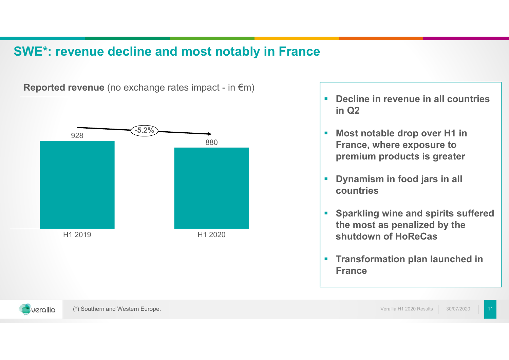#### **SWE\*: revenue decline and most notably in France**



**Reported revenue** (no exchange rates impact - in €m)

- **Decline in revenue in all countries in Q2**
- **Most notable drop over H1 in France, where exposure to premium products is greater**
- $\mathbf{r}$  **Dynamism in food jars in all countries**
- **Sparkling wine and spirits suffered the most as penalized by the shutdown of HoReCas**
- **Transformation plan launched in France**

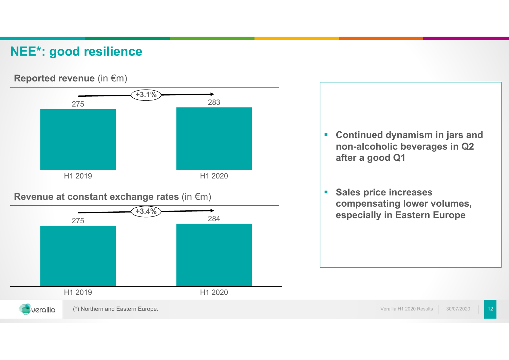#### **NEE\*: good resilience**

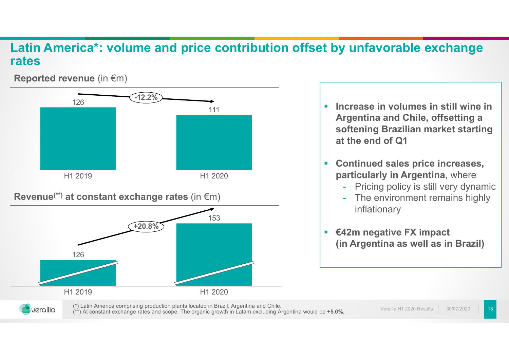#### **Latin America\*: volume and price contribution offset by unfavorable exchange rates**

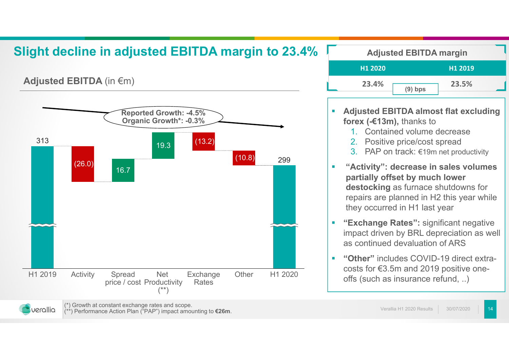## **Slight decline in adjusted EBITDA margin to 23.4%**

**Adjusted EBITDA** (in €m)



| <b>Adjusted EBITDA margin</b> |           |         |  |
|-------------------------------|-----------|---------|--|
| H <sub>1</sub> 2020           |           | H1 2019 |  |
| 23.4%                         | $(9)$ bps | 23.5%   |  |

- $\mathbf{r}$  **Adjusted EBITDA almost flat excluding forex (-€13m),** thanks to
	- 1. Contained volume decrease
	- 2.Positive price/cost spread
	- 3. PAP on track: €19m net productivity
- $\mathcal{L}^{\text{eff}}$  **"Activity": decrease in sales volumes partially offset by much lower destocking** as furnace shutdowns for repairs are planned in H2 this year while they occurred in H1 last year
- $\mathcal{L}_{\mathcal{A}}$  **"Exchange Rates":** significant negative impact driven by BRL depreciation as well as continued devaluation of ARS
- $\mathcal{L}_{\rm{eff}}$  **"Other"** includes COVID-19 direct extracosts for €3.5m and 2019 positive oneoffs (such as insurance refund, ..)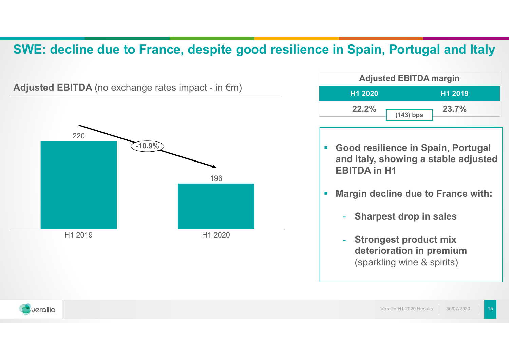#### **SWE: decline due to France, despite good resilience in Spain, Portugal and Italy**



| <b>Adjusted EBITDA margin</b>  |             |              |
|--------------------------------|-------------|--------------|
| H <sub>1</sub> 2020<br>H1 2019 |             |              |
| 22.2%                          |             | <b>23.7%</b> |
|                                | $(143)$ bps |              |

- **Good resilience in Spain, Portugal and Italy, showing a stable adjusted EBITDA in H1**
- $\mathcal{L}_{\mathcal{A}}$  **Margin decline due to France with:**
	- -**Sharpest drop in sales**
	- - **Strongest product mix deterioration in premium**  (sparkling wine & spirits)

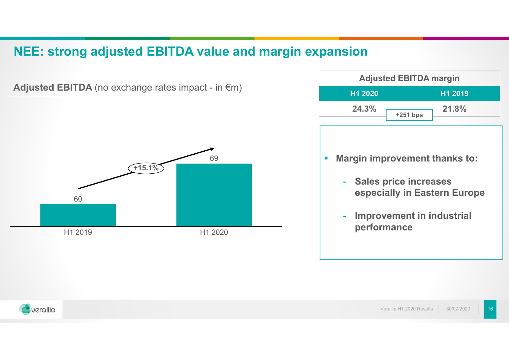#### **NEE: strong adjusted EBITDA value and margin expansion**



**Adjusted EBITDA** (no exchange rates impact - in €m)

**Adjusted EBITDA margin H1 2020 H1 2019 24.3% 21.8% +251 bps**

- $\overline{\phantom{a}}$  **Margin improvement thanks to:**
	- - **Sales price increases especially in Eastern Europe**
	- - **Improvement in industrial performance**

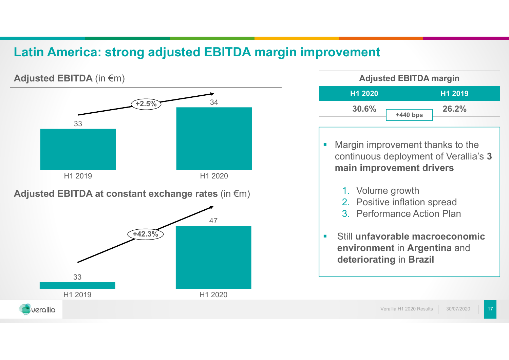#### **Latin America: strong adjusted EBITDA margin improvement**



| <b>Adjusted EBITDA margin</b>  |            |       |  |
|--------------------------------|------------|-------|--|
| H <sub>1</sub> 2020<br>H1 2019 |            |       |  |
| 30.6%                          |            | 26.2% |  |
|                                | $+440$ bps |       |  |

- $\mathcal{L}_{\mathcal{A}}$  Margin improvement thanks to the continuous deployment of Verallia's **3 main improvement drivers**
	- 1. Volume growth
	- 2. Positive inflation spread
	- 3. Performance Action Plan
- $\mathcal{L}_{\mathcal{A}}$  Still **unfavorable macroeconomic environment** in **Argentina** and **deteriorating** in **Brazil**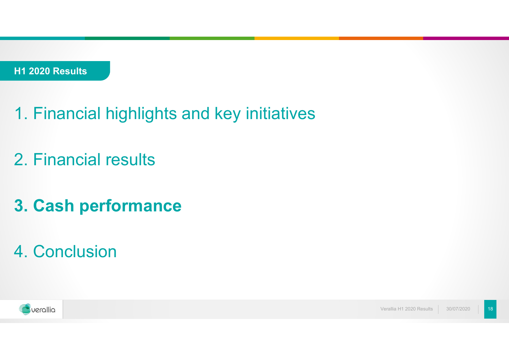- 1. Financial highlights and key initiatives
- 2. Financial results
- **3. Cash performance**
- 4. Conclusion

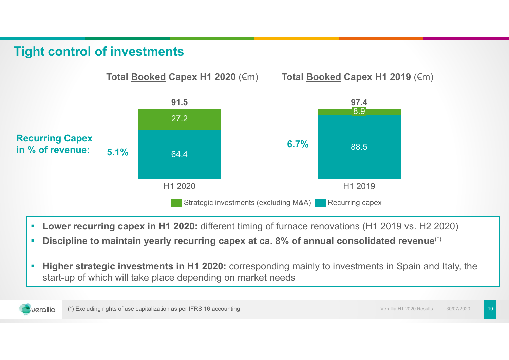#### **Tight control of investments**



- $\overline{\phantom{a}}$ **Lower recurring capex in H1 2020:** different timing of furnace renovations (H1 2019 vs. H2 2020)
- × **Discipline to maintain yearly recurring capex at ca. 8% of annual consolidated revenue**(\*)
- I. **Higher strategic investments in H1 2020:** corresponding mainly to investments in Spain and Italy, the start-up of which will take place depending on market needs



19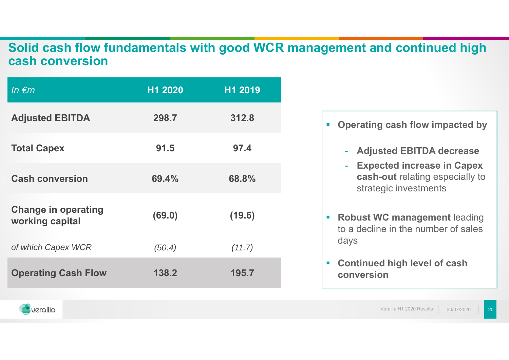#### **Solid cash flow fundamentals with good WCR management and continued high cash conversion**

| In $\epsilon$ m                               | H1 2020 | H1 2019 |
|-----------------------------------------------|---------|---------|
| <b>Adjusted EBITDA</b>                        | 298.7   | 312.8   |
| <b>Total Capex</b>                            | 91.5    | 97.4    |
| <b>Cash conversion</b>                        | 69.4%   | 68.8%   |
| <b>Change in operating</b><br>working capital | (69.0)  | (19.6)  |
| of which Capex WCR                            | (50.4)  | (11.7)  |
| <b>Operating Cash Flow</b>                    | 138.2   | 195.7   |

- **Operating cash flow impacted by**
	- **Adjusted EBITDA decrease**
	- **Expected increase in Capex cash-out** relating especially to strategic investments
- $\blacksquare$  **Robust WC management** leading to a decline in the number of sales days
- $\mathcal{L}_{\mathcal{A}}$  **Continued high level of cash conversion**

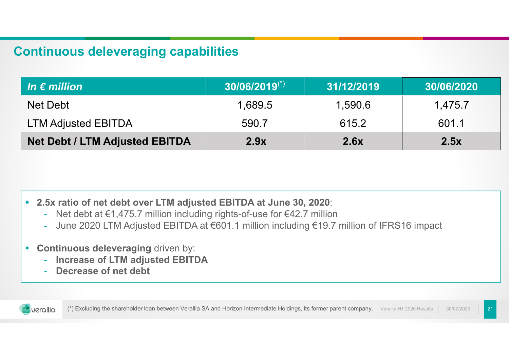#### **Continuous deleveraging capabilities**

| $ $ In $\bm{\epsilon}$ million        | $30/06/2019$ <sup>(*)</sup> | 31/12/2019 | 30/06/2020 |
|---------------------------------------|-----------------------------|------------|------------|
| Net Debt                              | 1,689.5                     | 1,590.6    | 1,475.7    |
| <b>LTM Adjusted EBITDA</b>            | 590.7                       | 615.2      | 601.1      |
| <b>Net Debt / LTM Adjusted EBITDA</b> | 2.9x                        | 2.6x       | 2.5x       |

- **2.5x ratio of net debt over LTM adjusted EBITDA at June 30, 202 0**:
	- -Net debt at €1,475.7 million including rights-of-use for €42.7 million
	- -June 2020 LTM Adjusted EBITDA at €601.1 million including €19.7 million of IFRS16 impact
- $\mathcal{L}_{\mathcal{A}}$  **Continuous deleveraging** driven by:
	- -**Increase of LTM adjusted EBITDA**
	- **Decrease of net debt**



30/07/2020 (\*) Excluding the shareholder loan between Verallia SA and Horizon Intermediate Holdings, its former parent company. Verallia H1 2020 Results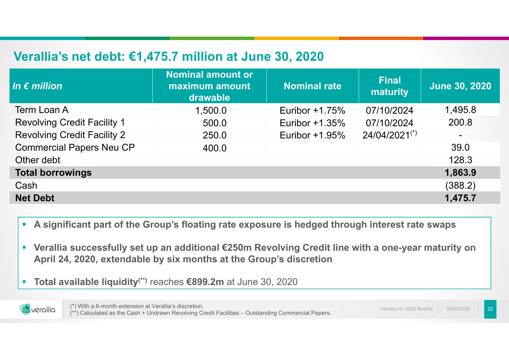#### **Verallia's net debt: €1,475.7 million at June 30, 2020**

| In $\epsilon$ million              | Nominal amount or<br>maximum amount<br>drawable | <b>Nominal rate</b> | <b>Final</b><br>maturity | <b>June 30, 2020</b> |
|------------------------------------|-------------------------------------------------|---------------------|--------------------------|----------------------|
| Term Loan A                        | 1,500.0                                         | Euribor $+1.75\%$   | 07/10/2024               | 1,495.8              |
| <b>Revolving Credit Facility 1</b> | 500.0                                           | Euribor $+1.35\%$   | 07/10/2024               | 200.8                |
| <b>Revolving Credit Facility 2</b> | 250.0                                           | Euribor +1.95%      | 24/04/2021(*)            |                      |
| <b>Commercial Papers Neu CP</b>    | 400.0                                           |                     |                          | 39.0                 |
| Other debt                         |                                                 |                     |                          | 128.3                |
| <b>Total borrowings</b>            |                                                 |                     |                          | 1,863.9              |
| Cash                               |                                                 |                     |                          | (388.2)              |
| <b>Net Debt</b>                    |                                                 |                     |                          | 1,475.7              |

- $\mathcal{L}_{\mathcal{A}}$ **A significant part of the Group's floating rate exposure is hedged through interest rate swaps**
- $\mathcal{L}_{\mathcal{A}}$  **Verallia successfully set up an additional €250m Revolving Credit line with a one-year maturity on April 24, 2020, extendable by six months at the Group's discretion**
- × **Total available liquidity(\*\*)** reaches **€899.2m** at June 30, 2020

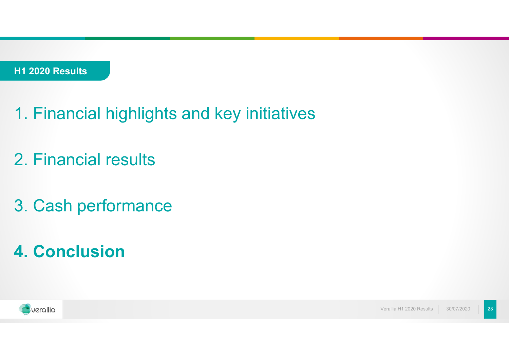- 1. Financial highlights and key initiatives
- 2. Financial results
- 3. Cash performance
- **4. Conclusion**



Verallia H1 2020 Results30/07/2020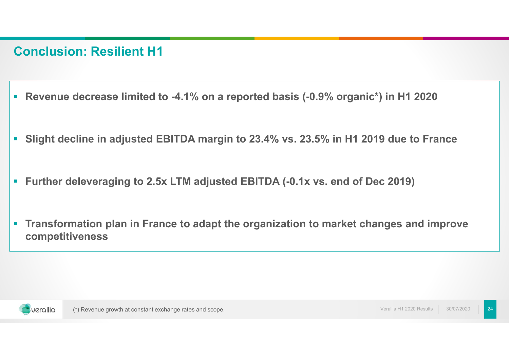#### **Conclusion: Resilient H1**

- **Revenue decrease limited to -4.1% on a reported basis (-0.9% organic\*) in H1 2020**
- $\mathcal{L}_{\mathcal{A}}$ **Slight decline in adjusted EBITDA margin to 23.4% vs. 23.5% in H1 2019 due to France**
- $\blacksquare$ **Further deleveraging to 2.5x LTM adjusted EBITDA (-0.1x vs. end of Dec 2019)**
- $\mathcal{L}_{\mathcal{A}}$  **Transformation plan in France to adapt the organization to market changes and improve competitiveness**

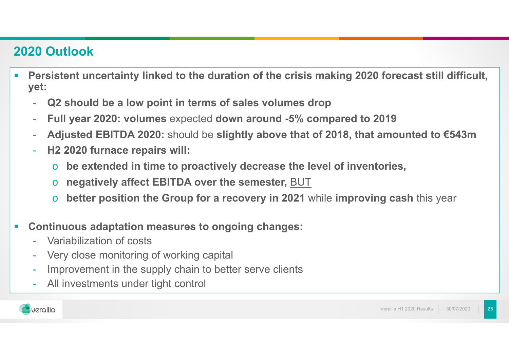## **2020 Outlook**

- **Persistent uncertainty linked to the duration of the crisis making 2020 forecast still difficult, yet:**
	- **Q2 should be a low point in terms of sales volumes drop**
	- **Full year 2020: volumes** expected **down around -5% compared to 2019**
	- **Adjusted EBITDA 2020:** should be **slightly above that of 2018, that amounted to €543m**
	- **H2 2020 furnace repairs will:**
		- o**be extended in time to proactively decrease the level of inventories,**
		- o**negatively affect EBITDA over the semester,** BUT
		- o**better position the Group for a recovery in 2021** while **improving cash** this year
- Г **Continuous adaptation measures to ongoing changes:**
	- -Variabilization of costs
	- Very close monitoring of working capital
	- -Improvement in the supply chain to better serve clients
	- All investments under tight control

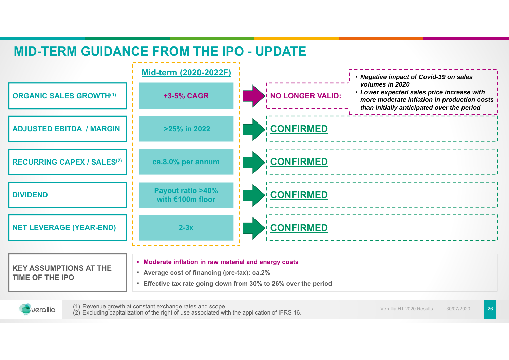## **MID-TERM GUIDANCE FROM THE IPO - UPDATE**



**Effective tax rate going down from 30% to 26% over the period**



(1) Revenue growth at constant exchange rates and scope. (2) Excluding capitalization of the right of use associated with the application of IFRS 16.

26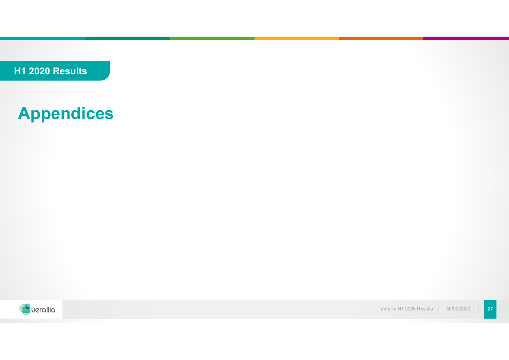**H1 2020 Results**

# **Appendices**



Verallia H1 2020 Results 30/07/202027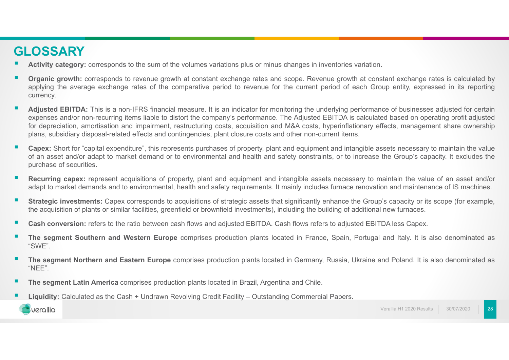#### **GLOSSARY**

- **Activity category:** corresponds to the sum of the volumes variations plus or minus changes in inventories variation.
- **Organic growth:** corresponds to revenue growth at constant exchange rates and scope. Revenue growth at constant exchange rates is calculated by applying the average exchange rates of the comparative period to revenue for the current period of each Group entity, expressed in its reporting currency.
- ٠ Adjusted EBITDA: This is a non-IFRS financial measure. It is an indicator for monitoring the underlying performance of businesses adjusted for certain expenses and/or non-recurring items liable to distort the company's performance. The Adjusted EBITDA is calculated based on operating profit adjusted for depreciation, amortisation and impairment, restructuring costs, acquisition and M&A costs, hyperinflationary effects, management share ownership plans, subsidiary disposal-related effects and contingencies, plant closure costs and other non-current items.
- ٠ **Capex:** Short for "capital expenditure", this represents purchases of property, plant and equipment and intangible assets necessary to maintain the value of an asset and/or adapt to market demand or to environmental and health and safety constraints, or to increase the Group's capacity. It excludes the purchase of securities.
- **Recurring capex:** represent acquisitions of property, plant and equipment and intangible assets necessary to maintain the value of an asset and/or adapt to market demands and to environmental, health and safety requirements. It mainly includes furnace renovation and maintenance of IS machines.
- $\mathbf{r}$ **Strategic investments:** Capex corresponds to acquisitions of strategic assets that significantly enhance the Group's capacity or its scope (for example, the acquisition of plants or similar facilities, greenfield or brownfield investments), including the building of additional new furnaces.
- г **Cash conversion:** refers to the ratio between cash flows and adjusted EBITDA. Cash flows refers to adjusted EBITDA less Capex.
- **The segment Southern and Western Europe** comprises production plants located in France, Spain, Portugal and Italy. It is also denominated as "SWE".
- **The segment Northern and Eastern Europe** comprises production plants located in Germany, Russia, Ukraine and Poland. It is also denominated as "NEE".
- г **The segment Latin America** comprises production plants located in Brazil, Argentina and Chile.
- г **Liquidity:** Calculated as the Cash <sup>+</sup> Undrawn Revolving Credit Facility – Outstanding Commercial Papers.



28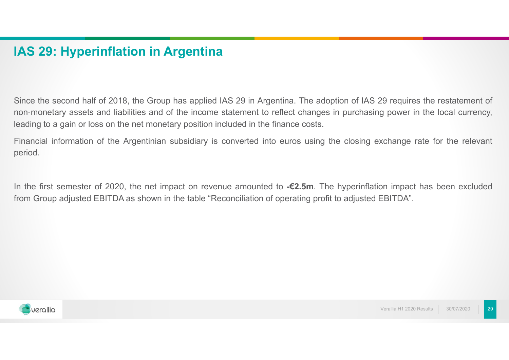#### **IAS 29: Hyperinflation in Argentina**

Since the second half of 2018, the Group has applied IAS 29 in Argentina. The adoption of IAS 29 requires the restatement of non-monetary assets and liabilities and of the income statement to reflect changes in purchasing power in the local currency, leading to <sup>a</sup> gain or loss on the net monetary position included in the finance costs.

Financial information of the Argentinian subsidiary is converted into euros using the closing exchange rate for the relevant period.

In the first semester of 2020, the net impact on revenue amounted to **-€2.5m**. The hyperinflation impact has been excluded from Group adjusted EBITDA as shown in the table "Reconciliation of operating profit to adjusted EBITDA".

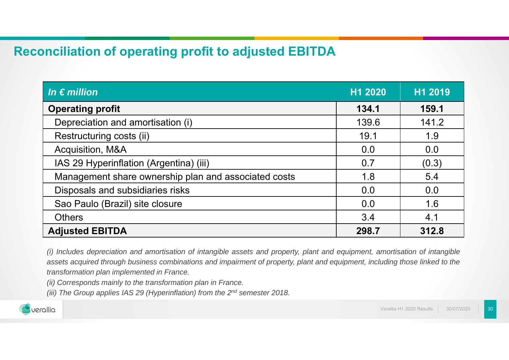#### **Reconciliation of operating profit to adjusted EBITDA**

| In $\epsilon$ million                                | H1 2020 | H1 2019 |
|------------------------------------------------------|---------|---------|
| <b>Operating profit</b>                              | 134.1   | 159.1   |
| Depreciation and amortisation (i)                    | 139.6   | 141.2   |
| Restructuring costs (ii)                             | 19.1    | 1.9     |
| Acquisition, M&A                                     | 0.0     | 0.0     |
| IAS 29 Hyperinflation (Argentina) (iii)              | 0.7     | (0.3)   |
| Management share ownership plan and associated costs | 1.8     | 5.4     |
| Disposals and subsidiaries risks                     | 0.0     | 0.0     |
| Sao Paulo (Brazil) site closure                      | 0.0     | 1.6     |
| <b>Others</b>                                        | 3.4     | 4.1     |
| <b>Adjusted EBITDA</b>                               | 298.7   | 312.8   |

(i) Includes depreciation and amortisation of intangible assets and property, plant and equipment, amortisation of intangible assets acquired through business combinations and impairment of property, plant and equipment, including those linked to the *transformation plan implemented in France.*

*(ii) Corresponds mainly to the transformation plan in France.*

(iii) The Group applies IAS 29 (Hyperinflation) from the 2<sup>nd</sup> semester 2018.

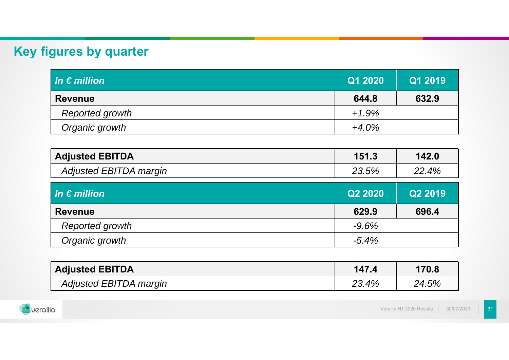# **Key figures by quarter**

| $\overline{\mathsf{In} \in \mathsf{million}}$ | Q1 2020  | Q1 2019 |
|-----------------------------------------------|----------|---------|
| <b>Revenue</b>                                | 644.8    | 632.9   |
| Reported growth                               | $+1.9%$  |         |
| Organic growth                                | $+4.0\%$ |         |

| <b>Adjusted EBITDA</b> | 151.3 | 142.0 |
|------------------------|-------|-------|
| Adjusted EBITDA margin | 23.5% | 22.4% |

| In $\epsilon$ million | Q2 2020  | Q2 2019 |
|-----------------------|----------|---------|
| <b>Revenue</b>        | 629.9    | 696.4   |
| Reported growth       | $-9.6%$  |         |
| Organic growth        | $-5.4\%$ |         |

| <b>Adjusted EBITDA</b> | 147.4 | 170.8 |
|------------------------|-------|-------|
| Adjusted EBITDA margin | 23.4% | 24.5% |

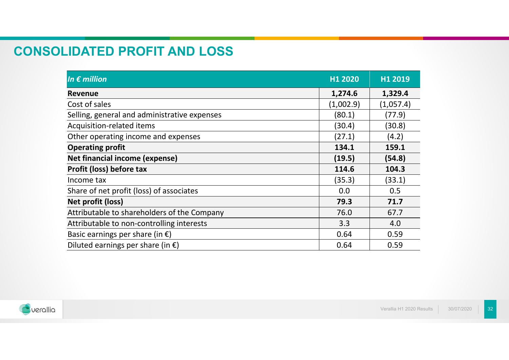#### **CONSOLIDATED PROFIT AND LOSS**

| In $\boldsymbol{\epsilon}$ million           | H1 2020   | H1 2019   |
|----------------------------------------------|-----------|-----------|
| <b>Revenue</b>                               | 1,274.6   | 1,329.4   |
| Cost of sales                                | (1,002.9) | (1,057.4) |
| Selling, general and administrative expenses | (80.1)    | (77.9)    |
| Acquisition-related items                    | (30.4)    | (30.8)    |
| Other operating income and expenses          | (27.1)    | (4.2)     |
| <b>Operating profit</b>                      | 134.1     | 159.1     |
| Net financial income (expense)               | (19.5)    | (54.8)    |
| Profit (loss) before tax                     | 114.6     | 104.3     |
| Income tax                                   | (35.3)    | (33.1)    |
| Share of net profit (loss) of associates     | 0.0       | 0.5       |
| Net profit (loss)                            | 79.3      | 71.7      |
| Attributable to shareholders of the Company  | 76.0      | 67.7      |
| Attributable to non-controlling interests    | 3.3       | 4.0       |
| Basic earnings per share (in $\epsilon$ )    | 0.64      | 0.59      |
| Diluted earnings per share (in $\epsilon$ )  | 0.64      | 0.59      |

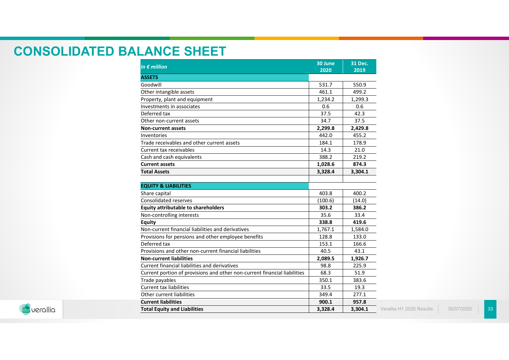#### **CONSOLIDATED BALANCE SHEET**

| In $\epsilon$ million                                                     | 30 June<br>2020 | 31 Dec.<br>2019 |                          |
|---------------------------------------------------------------------------|-----------------|-----------------|--------------------------|
| <b>ASSETS</b>                                                             |                 |                 |                          |
| Goodwill                                                                  | 531.7           | 550.9           |                          |
| Other intangible assets                                                   | 461.1           | 499.2           |                          |
| Property, plant and equipment                                             | 1,234.2         | 1,299.3         |                          |
| Investments in associates                                                 | 0.6             | 0.6             |                          |
| Deferred tax                                                              | 37.5            | 42.3            |                          |
| Other non-current assets                                                  | 34.7            | 37.5            |                          |
| <b>Non-current assets</b>                                                 | 2,299.8         | 2,429.8         |                          |
| Inventories                                                               | 442.0           | 455.2           |                          |
| Trade receivables and other current assets                                | 184.1           | 178.9           |                          |
| Current tax receivables                                                   | 14.3            | 21.0            |                          |
| Cash and cash equivalents                                                 | 388.2           | 219.2           |                          |
| <b>Current assets</b>                                                     | 1,028.6         | 874.3           |                          |
| <b>Total Assets</b>                                                       | 3,328.4         | 3,304.1         |                          |
| <b>EQUITY &amp; LIABILITIES</b>                                           | 403.8           | 400.2           |                          |
| Share capital                                                             |                 |                 |                          |
| <b>Consolidated reserves</b>                                              | (100.6)         | (14.0)          |                          |
| <b>Equity attributable to shareholders</b>                                | 303.2           | 386.2           |                          |
| Non-controlling interests                                                 | 35.6            | 33.4            |                          |
| <b>Equity</b>                                                             | 338.8           | 419.6           |                          |
| Non-current financial liabilities and derivatives                         | 1,767.1         | 1,584.0         |                          |
| Provisions for pensions and other employee benefits                       | 128.8           | 133.0           |                          |
| Deferred tax                                                              | 153.1           | 166.6           |                          |
| Provisions and other non-current financial liabilities                    | 40.5            | 43.1            |                          |
| <b>Non-current liabilities</b>                                            | 2,089.5         | 1,926.7         |                          |
| Current financial liabilities and derivatives                             | 98.8            | 225.9           |                          |
| Current portion of provisions and other non-current financial liabilities | 68.3            | 51.9            |                          |
| Trade payables                                                            | 350.1           | 383.6           |                          |
| <b>Current tax liabilities</b>                                            | 33.5            | 19.3            |                          |
| Other current liabilities                                                 | 349.4           | 277.1           |                          |
| <b>Current liabilities</b>                                                | 900.1           | 957.8           |                          |
| <b>Total Equity and Liabilities</b>                                       | 3,328.4         | 3,304.1         | Verallia H1 2020 Results |



 30/07/202033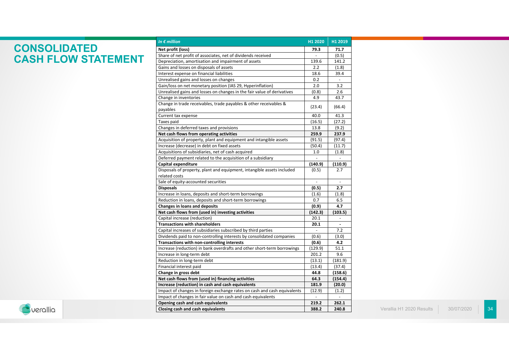#### **CONSOLIDATED CASH FLOW STATEMENT**

| In $\epsilon$ million                                                    |                | H1 2019        |
|--------------------------------------------------------------------------|----------------|----------------|
| Net profit (loss)                                                        | 79.3           | 71.7           |
| Share of net profit of associates, net of dividends received             |                | (0.5)          |
| Depreciation, amortisation and impairment of assets                      |                | 141.2          |
| Gains and losses on disposals of assets                                  |                | (1.8)          |
| Interest expense on financial liabilities                                |                | 39.4           |
| Unrealised gains and losses on changes                                   |                |                |
| Gain/loss on net monetary position (IAS 29, Hyperinflation)              | 2.0            | 3.2            |
| Unrealised gains and losses on changes in the fair value of derivatives  | (0.8)          | 2.6            |
| Change in inventories                                                    |                | 43.7           |
| Change in trade receivables, trade payables & other receivables &        | (23.4)         | (66.4)         |
| payables                                                                 |                |                |
| Current tax expense                                                      |                | 41.3           |
| Taxes paid                                                               |                | (27.2)         |
| Changes in deferred taxes and provisions                                 | 13.8           | (9.2)          |
| Net cash flows from operating activities                                 | 259.9          | 237.9          |
| Acquisition of property, plant and equipment and intangible assets       | (91.5)         | (97.4)         |
| Increase (decrease) in debt on fixed assets                              | (50.4)         | (11.7)         |
| Acquisitions of subsidiaries, net of cash acquired                       | 1.0            | (1.8)          |
| Deferred payment related to the acquisition of a subsidiary              |                | $\overline{a}$ |
| Capital expenditure                                                      | (140.9)        | (110.9)        |
| Disposals of property, plant and equipment, intangible assets included   | (0.5)          | 2.7            |
| related costs                                                            |                |                |
| Sale of equity-accounted securities                                      | ÷,             | $\blacksquare$ |
| <b>Disposals</b>                                                         | (0.5)          | 2.7            |
| Increase in loans, deposits and short-term borrowings                    | (1.6)          | (1.8)          |
| Reduction in loans, deposits and short-term borrowings                   | 0.7            | 6.5            |
| <b>Changes in loans and deposits</b>                                     |                | 4.7            |
| Net cash flows from (used in) investing activities                       |                | (103.5)        |
| Capital increase (reduction)                                             | 20.1           |                |
| <b>Transactions with shareholders</b>                                    | 20.1           | ä,             |
| Capital increases of subsidiaries subscribed by third parties            | $\overline{a}$ | 7.2            |
| Dividends paid to non-controlling interests by consolidated companies    | (0.6)          | (3.0)          |
| Transactions with non-controlling interests                              | (0.6)          | 4.2            |
| Increase (reduction) in bank overdrafts and other short-term borrowings  | (129.9)        | 51.1           |
| Increase in long-term debt                                               | 201.2          | 9.6            |
| Reduction in long-term debt                                              | (13.1)         | (181.9)        |
| Financial interest paid                                                  | (13.4)         | (37.4)         |
| Change in gross debt                                                     |                | (158.6)        |
| Net cash flows from (used in) financing activities                       |                | (154.4)        |
| Increase (reduction) in cash and cash equivalents                        |                | (20.0)         |
| Impact of changes in foreign exchange rates on cash and cash equivalents | (12.9)         | (1.2)          |
| Impact of changes in fair value on cash and cash equivalents             | 219.2          |                |
| Opening cash and cash equivalents                                        |                | 262.1          |
| Closing cash and cash equivalents                                        | 388.2          | 240.8          |